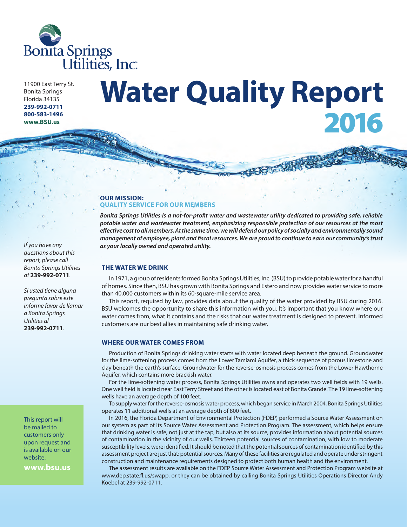

11900 East Terry St. Bonita Springs Florida 34135 **239-992-0711 800-583-1496 www.BSU.us**

# **Water Quality Report** 2016

# **OUR MISSION: QUALITY SERVICE FOR OUR MEMBERS**

*Bonita Springs Utilities is a not-for-profit water and wastewater utility dedicated to providing safe, reliable potable water and wastewater treatment, emphasizing responsible protection of our resources at the most effective cost to all members. At the same time, we will defend our policy of socially and environmentally sound management of employee, plant and fiscal resources. We are proud to continue to earn our community's trust as your locally owned and operated utility.*

# **THE WATER WE DRINK**

In 1971, a group of residents formed Bonita Springs Utilities, Inc. (BSU) to provide potable water for a handful of homes. Since then, BSU has grown with Bonita Springs and Estero and now provides water service to more than 40,000 customers within its 60-square-mile service area.

This report, required by law, provides data about the quality of the water provided by BSU during 2016. BSU welcomes the opportunity to share this information with you. It's important that you know where our water comes from, what it contains and the risks that our water treatment is designed to prevent. Informed customers are our best allies in maintaining safe drinking water.

# **WHERE OUR WATER COMES FROM**

Production of Bonita Springs drinking water starts with water located deep beneath the ground. Groundwater for the lime-softening process comes from the Lower Tamiami Aquifer, a thick sequence of porous limestone and clay beneath the earth's surface. Groundwater for the reverse-osmosis process comes from the Lower Hawthorne Aquifer, which contains more brackish water.

For the lime-softening water process, Bonita Springs Utilities owns and operates two well fields with 19 wells. One well field is located near East Terry Street and the other is located east of Bonita Grande. The 19 lime-softening wells have an average depth of 100 feet.

To supply water for the reverse-osmosis water process, which began service in March 2004, Bonita Springs Utilities operates 11 additional wells at an average depth of 800 feet.

In 2016, the Florida Department of Environmental Protection (FDEP) performed a Source Water Assessment on our system as part of its Source Water Assessment and Protection Program. The assessment, which helps ensure that drinking water is safe, not just at the tap, but also at its source, provides information about potential sources of contamination in the vicinity of our wells. Thirteen potential sources of contamination, with low to moderate susceptibility levels, were identified. It should be noted that the potential sources of contamination identified by this assessment project are just that: potential sources. Many of these facilities are regulated and operate under stringent construction and maintenance requirements designed to protect both human health and the environment.

The assessment results are available on the FDEP Source Water Assessment and Protection Program website at www.dep.state.fl.us/swapp, or they can be obtained by calling Bonita Springs Utilities Operations Director Andy Koebel at 239-992-0711.

*If you have any questions about this report, please call Bonita Springs Utilities at* **239-992-0711***.* 

*Si usted tiene alguna pregunta sobre este informe favor de llamar a Bonita Springs Utilities al*  **239-992-0711***.* 

This report will be mailed to customers only upon request and is available on our website:

**www.bsu.us**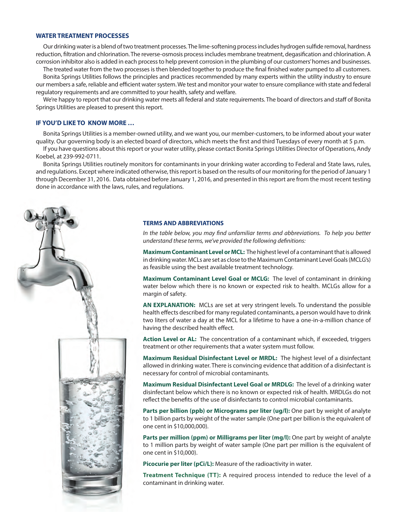# **WATER TREATMENT PROCESSES**

Our drinking water is a blend of two treatment processes. The lime-softening process includes hydrogen sulfide removal, hardness reduction, filtration and chlorination. The reverse-osmosis process includes membrane treatment, degasification and chlorination. A corrosion inhibitor also is added in each process to help prevent corrosion in the plumbing of our customers' homes and businesses.

The treated water from the two processes is then blended together to produce the final finished water pumped to all customers.

Bonita Springs Utilities follows the principles and practices recommended by many experts within the utility industry to ensure our members a safe, reliable and efficient water system. We test and monitor your water to ensure compliance with state and federal regulatory requirements and are committed to your health, safety and welfare.

We're happy to report that our drinking water meets all federal and state requirements. The board of directors and staff of Bonita Springs Utilities are pleased to present this report.

#### **IF YOU'D LIKE TO KNOW MORE …**

Bonita Springs Utilities is a member-owned utility, and we want you, our member-customers, to be informed about your water quality. Our governing body is an elected board of directors, which meets the first and third Tuesdays of every month at 5 p.m.

If you have questions about this report or your water utility, please contact Bonita Springs Utilities Director of Operations, Andy Koebel, at 239-992-0711.

Bonita Springs Utilities routinely monitors for contaminants in your drinking water according to Federal and State laws, rules, and regulations. Except where indicated otherwise, this report is based on the results of our monitoring for the period of January 1 through December 31, 2016. Data obtained before January 1, 2016, and presented in this report are from the most recent testing done in accordance with the laws, rules, and regulations.



# **TERMS AND ABBREVIATIONS**

*In the table below, you may find unfamiliar terms and abbreviations. To help you better understand these terms, we've provided the following definitions:*

**Maximum Contaminant Level or MCL:** The highest level of a contaminant that is allowed in drinking water. MCLs are set as close to the Maximum Contaminant Level Goals (MCLG's) as feasible using the best available treatment technology.

**Maximum Contaminant Level Goal or MCLG:** The level of contaminant in drinking water below which there is no known or expected risk to health. MCLGs allow for a margin of safety.

**AN EXPLANATION:** MCLs are set at very stringent levels. To understand the possible health effects described for many regulated contaminants, a person would have to drink two liters of water a day at the MCL for a lifetime to have a one-in-a-million chance of having the described health effect.

**Action Level or AL:** The concentration of a contaminant which, if exceeded, triggers treatment or other requirements that a water system must follow.

**Maximum Residual Disinfectant Level or MRDL:** The highest level of a disinfectant allowed in drinking water. There is convincing evidence that addition of a disinfectant is necessary for control of microbial contaminants.

**Maximum Residual Disinfectant Level Goal or MRDLG:** The level of a drinking water disinfectant below which there is no known or expected risk of health. MRDLGs do not reflect the benefits of the use of disinfectants to control microbial contaminants.

**Parts per billion (ppb) or Micrograms per liter (ug/l):** One part by weight of analyte to 1 billion parts by weight of the water sample (One part per billion is the equivalent of one cent in \$10,000,000).

**Parts per million (ppm) or Milligrams per liter (mg/l):** One part by weight of analyte to 1 million parts by weight of water sample (One part per million is the equivalent of one cent in \$10,000).

Picocurie per liter (pCi/L): Measure of the radioactivity in water.

**Treatment Technique (TT):** A required process intended to reduce the level of a contaminant in drinking water.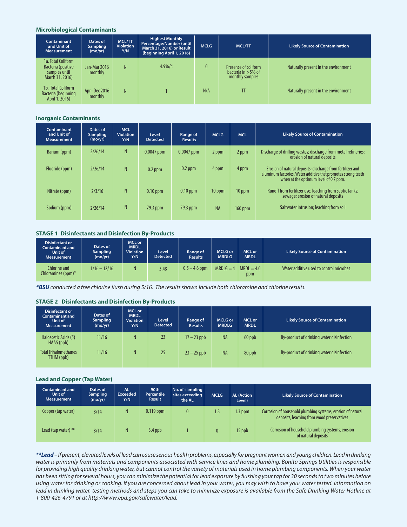### **Microbiological Contaminants**

| Contaminant<br>and Unit of<br><b>Measurement</b>                             | Dates of<br><b>Sampling</b><br>(mo/yr) | MCL/TT<br><b>Violation</b><br>Y/N | <b>Highest Monthly</b><br>Percentage/Number (until<br>March 31, 2016) or Result<br>(beginning April 1, 2016) | <b>MCLG</b>  | <b>MCL/TT</b>                                                    | <b>Likely Source of Contamination</b> |
|------------------------------------------------------------------------------|----------------------------------------|-----------------------------------|--------------------------------------------------------------------------------------------------------------|--------------|------------------------------------------------------------------|---------------------------------------|
| 1a. Total Coliform<br>Bacteria (positive<br>samples until<br>March 31, 2016) | Jan-Mar 2016<br>monthly                | N                                 | $4.9\%/4$                                                                                                    | $\mathbf{0}$ | Presence of coliform<br>bacteria in $>5\%$ of<br>monthly samples | Naturally present in the environment  |
| 1b. Total Coliform<br>Bacteria (beginning<br>April 1, 2016)                  | Apr-Dec 2016<br>monthly                | N                                 |                                                                                                              | N/A          | TT                                                               | Naturally present in the environment  |

#### **Inorganic Contaminants**

| Contaminant<br>and Unit of<br><b>Measurement</b> | Dates of<br><b>Sampling</b><br>(mo/yr) | <b>MCL</b><br><b>Violation</b><br>Y/N | Level<br><b>Detected</b> | Range of<br><b>Results</b> | <b>MCLG</b> | <b>MCL</b> | <b>Likely Source of Contamination</b>                                                                                                                                |
|--------------------------------------------------|----------------------------------------|---------------------------------------|--------------------------|----------------------------|-------------|------------|----------------------------------------------------------------------------------------------------------------------------------------------------------------------|
| Barium (ppm)                                     | 2/26/14                                | N                                     | $0.0047$ ppm             | $0.0047$ ppm               | 2 ppm       | 2 ppm      | Discharge of drilling wastes; discharge from metal refineries;<br>erosion of natural deposits                                                                        |
| Fluoride (ppm)                                   | 2/26/14                                | N                                     | $0.2$ ppm                | $0.2$ ppm                  | 4 ppm       | 4 ppm      | Erosion of natural deposits; discharge from fertilizer and<br>aluminum factories. Water additive that promotes strong teeth<br>when at the optimum level of 0.7 ppm. |
| Nitrate (ppm)                                    | 2/3/16                                 | N                                     | $0.10$ ppm               | $0.10$ ppm                 | 10 ppm      | 10 ppm     | Runoff from fertilizer use; leaching from septic tanks;<br>sewage; erosion of natural deposits                                                                       |
| Sodium (ppm)                                     | 2/26/14                                | N                                     | 79.3 ppm                 | 79.3 ppm                   | <b>NA</b>   | 160 ppm    | Saltwater intrusion; leaching from soil                                                                                                                              |

# **STAGE 1 Disinfectants and Disinfection By-Products**

| <b>Disinfectant or</b><br>Contaminant and<br>Unit of<br><b>Measurement</b> | Dates of<br><b>Sampling</b><br>(mo/yr) | <b>MCL or</b><br><b>MRDL</b><br><b>Violation</b><br>Y/N | Level<br><b>Detected</b> | Range of<br><b>Results</b> | <b>MCLG</b> or<br><b>MRDLG</b> | MCL or<br><b>MRDL</b> | <b>Likely Source of Contamination</b>   |
|----------------------------------------------------------------------------|----------------------------------------|---------------------------------------------------------|--------------------------|----------------------------|--------------------------------|-----------------------|-----------------------------------------|
| Chlorine and<br>Chloramines (ppm) $*$                                      | $1/16 - 12/16$                         | N                                                       | 3.48                     | $0.5 - 4.6$ ppm            | $MRDLG = 4$                    | $MRDL = 4.0$<br>ppm   | Water additive used to control microbes |

*\*BSU conducted a free chlorine flush during 5/16. The results shown include both chloramine and chlorine results.*

#### **STAGE 2 Disinfectants and Disinfection By-Products**

| <b>Disinfectant or</b><br>Contaminant and<br>Unit of<br><b>Measurement</b> | Dates of<br><b>Sampling</b><br>(mo/yr) | MCL or<br><b>MRDL</b><br><b>Violation</b><br>Y/N | Level<br><b>Detected</b> | Range of<br><b>Results</b> | <b>MCLG or</b><br><b>MRDLG</b> | MCL or<br><b>MRDL</b> | <b>Likely Source of Contamination</b>     |
|----------------------------------------------------------------------------|----------------------------------------|--------------------------------------------------|--------------------------|----------------------------|--------------------------------|-----------------------|-------------------------------------------|
| Haloacetic Acids (5)<br>HAA5 (ppb)                                         | 11/16                                  | N                                                | 23                       | $17 - 23$ ppb              | <b>NA</b>                      | 60 ppb                | By-product of drinking water disinfection |
| <b>Total Trihalomethanes</b><br>TTHM (ppb)                                 | 11/16                                  | N                                                | 25                       | $23 - 25$ ppb              | <b>NA</b>                      | 80 ppb                | By-product of drinking water disinfection |

# **Lead and Copper (Tap Water)**

| <b>Contaminant and</b><br>Unit of<br><b>Measurement</b> | Dates of<br><b>Sampling</b><br>(mo/yr) | <b>AL</b><br><b>Exceeded</b><br>Y/N | 90th<br><b>Percentile</b><br><b>Result</b> | No. of sampling<br>sites exceeding<br>the AL | <b>MCLG</b> | <b>AL (Action</b><br>Level) | <b>Likely Source of Contamination</b>                                                                     |
|---------------------------------------------------------|----------------------------------------|-------------------------------------|--------------------------------------------|----------------------------------------------|-------------|-----------------------------|-----------------------------------------------------------------------------------------------------------|
| Copper (tap water)                                      | 8/14                                   | N.                                  | $0.119$ ppm                                | 0                                            | 1.3         | $1.3$ ppm                   | Corrosion of household plumbing systems, erosion of natural<br>deposits, leaching from wood preservatives |
| Lead (tap water) $**$                                   | 8/14                                   | N                                   | $3.4$ ppb                                  |                                              |             | 15 ppb                      | Corrosion of household plumbing systems, erosion<br>of natural deposits                                   |

*\*\*Lead – If present, elevated levels of lead can cause serious health problems, especially for pregnant women and young children. Lead in drinking water is primarily from materials and components associated with service lines and home plumbing. Bonita Springs Utilities is responsible*  for providing high quality drinking water, but cannot control the variety of materials used in home plumbing components. When your water *has been sitting for several hours, you can minimize the potential for lead exposure by flushing your tap for 30 seconds to two minutes before using water for drinking or cooking. If you are concerned about lead in your water, you may wish to have your water tested. Information on*  lead in drinking water, testing methods and steps you can take to minimize exposure is available from the Safe Drinking Water Hotline at *1-800-426-4791 or at http://www.epa.gov/safewater/lead.*